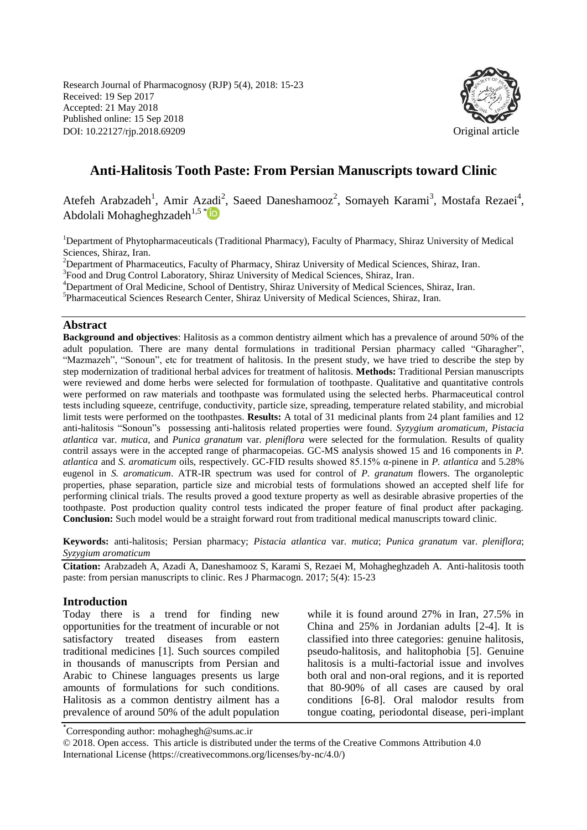Research Journal of Pharmacognosy (RJP) 5(4), 2018: 15-23 Received: 19 Sep 2017 Accepted: 21 May 2018 Published online: 15 Sep 2018 DOI: 10.22127/rjp.2018.69209 Original article



# **Anti-Halitosis Tooth Paste: From Persian Manuscripts toward Clinic**

Atefeh Arabzadeh<sup>1</sup>, Amir Azadi<sup>2</sup>, Saeed Daneshamooz<sup>2</sup>, Somayeh Karami<sup>3</sup>, Mostafa Rezaei<sup>4</sup>, Abdolali Mohagheghzadeh<sup>1,5 [\\*](http://orcid.org/0000-0002-4873-1449)</sup>

<sup>1</sup>Department of Phytopharmaceuticals (Traditional Pharmacy), Faculty of Pharmacy, Shiraz University of Medical Sciences, Shiraz, Iran.

<sup>2</sup>Department of Pharmaceutics, Faculty of Pharmacy, Shiraz University of Medical Sciences, Shiraz, Iran.

<sup>3</sup>Food and Drug Control Laboratory, Shiraz University of Medical Sciences, Shiraz, Iran.

<sup>4</sup>Department of Oral Medicine, School of Dentistry, Shiraz University of Medical Sciences, Shiraz, Iran.

5 Pharmaceutical Sciences Research Center, Shiraz University of Medical Sciences, Shiraz, Iran.

#### **Abstract**

**Background and objectives**: Halitosis as a common dentistry ailment which has a prevalence of around 50% of the adult population. There are many dental formulations in traditional Persian pharmacy called "Gharagher", "Mazmazeh", "Sonoun", etc for treatment of halitosis. In the present study, we have tried to describe the step by step modernization of traditional herbal advices for treatment of halitosis. **Methods:** Traditional Persian manuscripts were reviewed and dome herbs were selected for formulation of toothpaste. Qualitative and quantitative controls were performed on raw materials and toothpaste was formulated using the selected herbs. Pharmaceutical control tests including squeeze, centrifuge, conductivity, particle size, spreading, temperature related stability, and microbial limit tests were performed on the toothpastes. **Results:** A total of 31 medicinal plants from 24 plant families and 12 anti-halitosis "Sonoun"s possessing anti-halitosis related properties were found. *Syzygium aromaticum*, *Pistacia atlantica* var. *mutica*, and *Punica granatum* var. *pleniflora* were selected for the formulation. Results of quality contril assays were in the accepted range of pharmacopeias. GC-MS analysis showed 15 and 16 components in *P. atlantica* and *S. aromaticum* oils, respectively. GC-FID results showed 85.15% α-pinene in *P. atlantica* and 5.28% eugenol in *S. aromaticum*. ATR-IR spectrum was used for control of *P. granatum* flowers. The organoleptic properties, phase separation, particle size and microbial tests of formulations showed an accepted shelf life for performing clinical trials. The results proved a good texture property as well as desirable abrasive properties of the toothpaste. Post production quality control tests indicated the proper feature of final product after packaging. **Conclusion:** Such model would be a straight forward rout from traditional medical manuscripts toward clinic.

**Keywords:** anti-halitosis; Persian pharmacy; *Pistacia atlantica* var. *mutica*; *Punica granatum* var. *pleniflora*; *Syzygium aromaticum* 

**Citation:** Arabzadeh A, Azadi A, Daneshamooz S, Karami S, Rezaei M, Mohagheghzadeh A. Anti-halitosis tooth paste: from persian manuscripts to clinic. Res J Pharmacogn. 2017; 5(4): 15-23

#### **Introduction**

Today there is a trend for finding new opportunities for the treatment of incurable or not satisfactory treated diseases from eastern traditional medicines [1]. Such sources compiled in thousands of manuscripts from Persian and Arabic to Chinese languages presents us large amounts of formulations for such conditions. Halitosis as a common dentistry ailment has a prevalence of around 50% of the adult population while it is found around 27% in Iran, 27.5% in China and 25% in Jordanian adults [2-4]. It is classified into three categories: genuine halitosis, pseudo-halitosis, and halitophobia [5]. Genuine halitosis is a multi-factorial issue and involves both oral and non-oral regions, and it is reported that 80-90% of all cases are caused by oral conditions [6-8]. Oral malodor results from tongue coating, periodontal disease, peri-implant

\* Corresponding author: mohaghegh@sums.ac.ir

© 2018. Open access. This article is distributed under the terms of the Creative Commons Attribution 4.0 International License (https://creativecommons.org/licenses/by-nc/4.0/)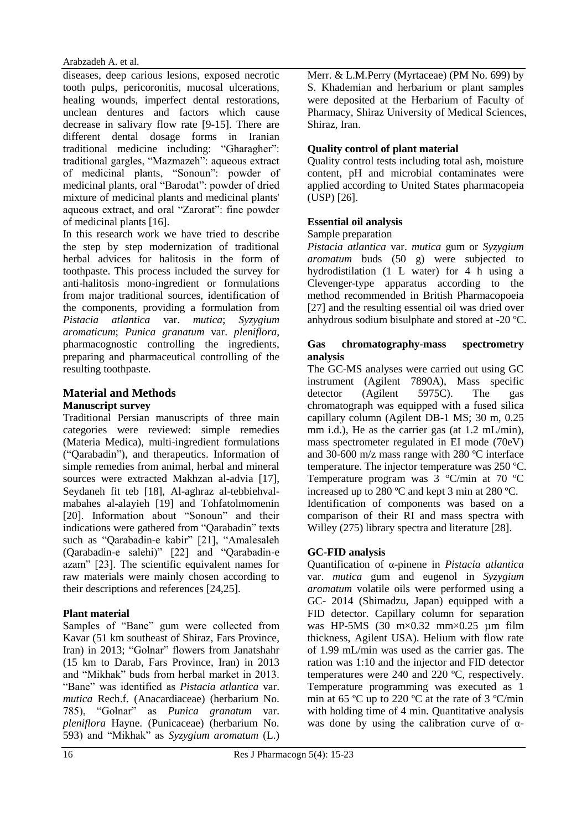#### Arabzadeh A. et al.

diseases, deep carious lesions, exposed necrotic tooth pulps, pericoronitis, mucosal ulcerations, healing wounds, imperfect dental restorations, unclean dentures and factors which cause decrease in salivary flow rate [9-15]. There are different dental dosage forms in Iranian traditional medicine including: "Gharagher": traditional gargles, "Mazmazeh": aqueous extract of medicinal plants, "Sonoun": powder of medicinal plants, oral "Barodat": powder of dried mixture of medicinal plants and medicinal plants' aqueous extract, and oral "Zarorat": fine powder of medicinal plants [16].

In this research work we have tried to describe the step by step modernization of traditional herbal advices for halitosis in the form of toothpaste. This process included the survey for anti-halitosis mono-ingredient or formulations from major traditional sources, identification of the components, providing a formulation from *Pistacia atlantica* var. *mutica*; *Syzygium aromaticum*; *Punica granatum* var. *pleniflora*, pharmacognostic controlling the ingredients, preparing and pharmaceutical controlling of the resulting toothpaste.

# **Material and Methods Manuscript survey**

Traditional Persian manuscripts of three main categories were reviewed: simple remedies (Materia Medica), multi-ingredient formulations ("Qarabadin"), and therapeutics. Information of simple remedies from animal, herbal and mineral sources were extracted Makhzan al-advia [17], Seydaneh fit teb [18], Al-aghraz al-tebbiehvalmabahes al-alayieh [19] and Tohfatolmomenin [20]. Information about "Sonoun" and their indications were gathered from "Qarabadin" texts such as "Qarabadin-e kabir" [21], "Amalesaleh (Qarabadin-e salehi)" [22] and "Qarabadin-e azam" [23]. The scientific equivalent names for raw materials were mainly chosen according to their descriptions and references [24,25].

# **Plant material**

Samples of "Bane" gum were collected from Kavar (51 km southeast of Shiraz, Fars Province, Iran) in 2013; "Golnar" flowers from Janatshahr (15 km to Darab, Fars Province, Iran) in 2013 and "Mikhak" buds from herbal market in 2013. "Bane" was identified as *Pistacia atlantica* var. *mutica* Rech.f. (Anacardiaceae) (herbarium No. 785), "Golnar" as *Punica granatum* var. *pleniflora* Hayne. (Punicaceae) (herbarium No. 593) and "Mikhak" as *Syzygium aromatum* (L.) Merr. & L.M.Perry (Myrtaceae) (PM No. 699) by S. Khademian and herbarium or plant samples were deposited at the Herbarium of Faculty of Pharmacy, Shiraz University of Medical Sciences, Shiraz, Iran.

# **Quality control of plant material**

Quality control tests including total ash, moisture content, pH and microbial contaminates were applied according to United States pharmacopeia (USP) [26].

# **Essential oil analysis**

### Sample preparation

*Pistacia atlantica* var. *mutica* gum or *Syzygium aromatum* buds (50 g) were subjected to hydrodistilation (1 L water) for 4 h using a Clevenger-type apparatus according to the method recommended in British Pharmacopoeia [27] and the resulting essential oil was dried over anhydrous sodium bisulphate and stored at -20 ºC.

#### **Gas chromatography-mass spectrometry analysis**

The GC-MS analyses were carried out using GC instrument (Agilent 7890A), Mass specific detector (Agilent 5975C). The gas chromatograph was equipped with a fused silica capillary column (Agilent DB-1 MS; 30 m, 0.25 mm i.d.), He as the carrier gas (at 1.2 mL/min), mass spectrometer regulated in EI mode (70eV) and 30-600 m/z mass range with 280 ºC interface temperature. The injector temperature was 250 ºC. Temperature program was 3 °C/min at 70 ºC increased up to 280 ºC and kept 3 min at 280 ºC. Identification of components was based on a comparison of their RI and mass spectra with Willey (275) library spectra and literature [28].

# **GC-FID analysis**

Quantification of α-pinene in *Pistacia atlantica* var. *mutica* gum and eugenol in *Syzygium aromatum* volatile oils were performed using a GC- 2014 (Shimadzu, Japan) equipped with a FID detector. Capillary column for separation was HP-5MS  $(30 \text{ m} \times 0.32 \text{ mm} \times 0.25 \text{ nm}$  film thickness, Agilent USA). Helium with flow rate of 1.99 mL/min was used as the carrier gas. The ration was 1:10 and the injector and FID detector temperatures were 240 and 220 ºC, respectively. Temperature programming was executed as 1 min at 65 ºC up to 220 ºC at the rate of 3 ºC/min with holding time of 4 min. Quantitative analysis was done by using the calibration curve of  $\alpha$ -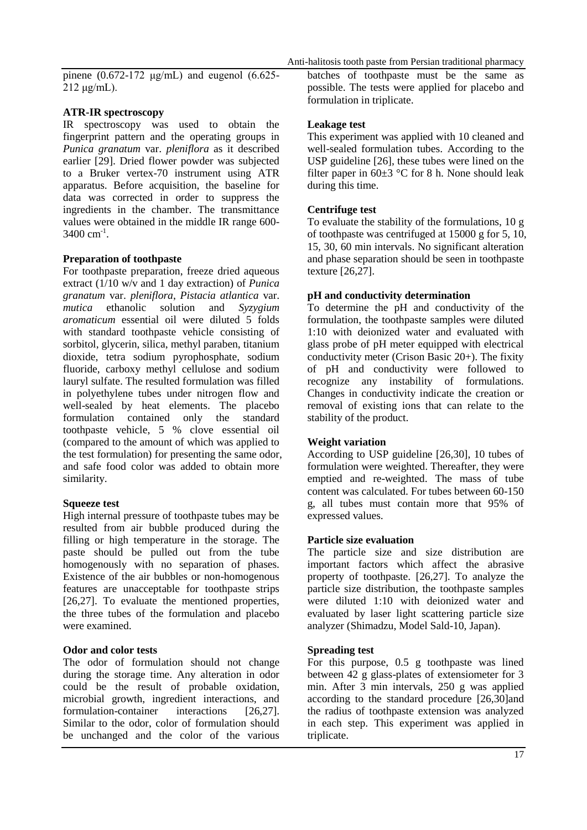pinene (0.672-172 μg/mL) and eugenol (6.625- 212 μg/mL).

### **ATR-IR spectroscopy**

IR spectroscopy was used to obtain the fingerprint pattern and the operating groups in *Punica granatum* var. *pleniflora* as it described earlier [29]. Dried flower powder was subjected to a Bruker vertex-70 instrument using ATR apparatus. Before acquisition, the baseline for data was corrected in order to suppress the ingredients in the chamber. The transmittance values were obtained in the middle IR range 600-  $3400 \text{ cm}^{-1}$ .

### **Preparation of toothpaste**

For toothpaste preparation, freeze dried aqueous extract (1/10 w/v and 1 day extraction) of *Punica granatum* var. *pleniflora*, *Pistacia atlantica* var. *mutica* ethanolic solution and *Syzygium aromaticum* essential oil were diluted 5 folds with standard toothpaste vehicle consisting of sorbitol, glycerin, silica, methyl paraben, titanium dioxide, tetra sodium pyrophosphate, sodium fluoride, carboxy methyl cellulose and sodium lauryl sulfate. The resulted formulation was filled in polyethylene tubes under nitrogen flow and well-sealed by heat elements. The placebo formulation contained only the standard toothpaste vehicle, 5 % clove essential oil (compared to the amount of which was applied to the test formulation) for presenting the same odor, and safe food color was added to obtain more similarity.

### **Squeeze test**

High internal pressure of toothpaste tubes may be resulted from air bubble produced during the filling or high temperature in the storage. The paste should be pulled out from the tube homogenously with no separation of phases. Existence of the air bubbles or non-homogenous features are unacceptable for toothpaste strips [26,27]. To evaluate the mentioned properties, the three tubes of the formulation and placebo were examined.

### **Odor and color tests**

The odor of formulation should not change during the storage time. Any alteration in odor could be the result of probable oxidation, microbial growth, ingredient interactions, and formulation-container interactions [26,27]. Similar to the odor, color of formulation should be unchanged and the color of the various

batches of toothpaste must be the same as possible. The tests were applied for placebo and formulation in triplicate.

# **Leakage test**

This experiment was applied with 10 cleaned and well-sealed formulation tubes. According to the USP guideline [26], these tubes were lined on the filter paper in  $60\pm3$  °C for 8 h. None should leak during this time.

# **Centrifuge test**

To evaluate the stability of the formulations, 10 g of toothpaste was centrifuged at 15000 g for 5, 10, 15, 30, 60 min intervals. No significant alteration and phase separation should be seen in toothpaste texture [26,27].

# **pH and conductivity determination**

To determine the pH and conductivity of the formulation, the toothpaste samples were diluted 1:10 with deionized water and evaluated with glass probe of pH meter equipped with electrical conductivity meter (Crison Basic 20+). The fixity of pH and conductivity were followed to recognize any instability of formulations. Changes in conductivity indicate the creation or removal of existing ions that can relate to the stability of the product.

### **Weight variation**

According to USP guideline [26,30], 10 tubes of formulation were weighted. Thereafter, they were emptied and re-weighted. The mass of tube content was calculated. For tubes between 60-150 g, all tubes must contain more that 95% of expressed values.

### **Particle size evaluation**

The particle size and size distribution are important factors which affect the abrasive property of toothpaste. [26,27]. To analyze the particle size distribution, the toothpaste samples were diluted 1:10 with deionized water and evaluated by laser light scattering particle size analyzer (Shimadzu, Model Sald-10, Japan).

# **Spreading test**

For this purpose, 0.5 g toothpaste was lined between  $42 \text{ g}$  glass-plates of extensiometer for 3 min. After 3 min intervals, 250 g was applied according to the standard procedure [26,30]and the radius of toothpaste extension was analyzed in each step. This experiment was applied in triplicate.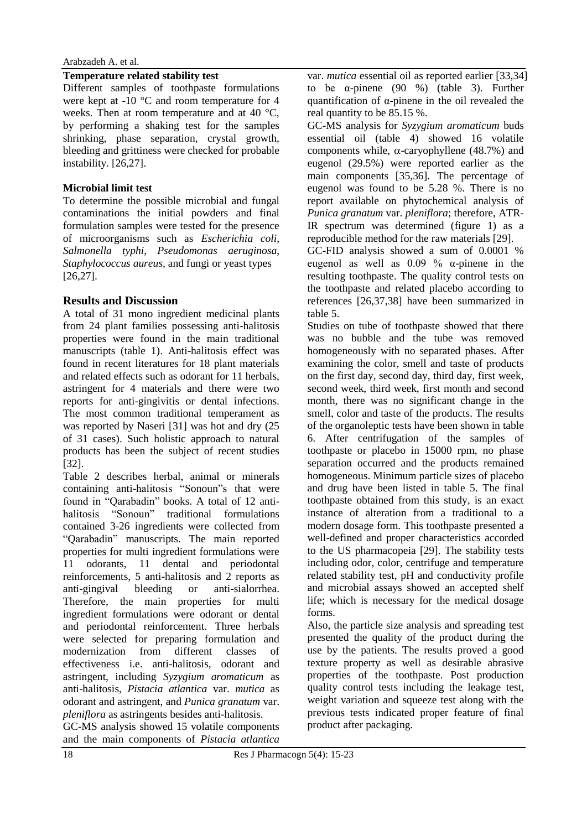### **Temperature related stability test**

Different samples of toothpaste formulations were kept at -10 °C and room temperature for 4 weeks. Then at room temperature and at 40 °C, by performing a shaking test for the samples shrinking, phase separation, crystal growth, bleeding and grittiness were checked for probable instability. [26,27].

# **Microbial limit test**

To determine the possible microbial and fungal contaminations the initial powders and final formulation samples were tested for the presence of microorganisms such as *Escherichia coli*, *Salmonella typhi*, *Pseudomonas aeruginosa*, *Staphylococcus aureus,* and fungi or yeast types [26,27].

# **Results and Discussion**

A total of 31 mono ingredient medicinal plants from 24 plant families possessing anti-halitosis properties were found in the main traditional manuscripts (table 1). Anti-halitosis effect was found in recent literatures for 18 plant materials and related effects such as odorant for 11 herbals, astringent for 4 materials and there were two reports for anti-gingivitis or dental infections. The most common traditional temperament as was reported by Naseri [31] was hot and dry (25 of 31 cases). Such holistic approach to natural products has been the subject of recent studies [32].

Table 2 describes herbal, animal or minerals containing anti-halitosis "Sonoun"s that were found in "Qarabadin" books. A total of 12 antihalitosis "Sonoun" traditional formulations contained 3-26 ingredients were collected from "Qarabadin" manuscripts. The main reported properties for multi ingredient formulations were 11 odorants, 11 dental and periodontal reinforcements, 5 anti-halitosis and 2 reports as anti-gingival bleeding or anti-sialorrhea. Therefore, the main properties for multi ingredient formulations were odorant or dental and periodontal reinforcement. Three herbals were selected for preparing formulation and modernization from different classes of effectiveness i.e. anti-halitosis, odorant and astringent, including *Syzygium aromaticum* as anti-halitosis, *Pistacia atlantica* var. *mutica* as odorant and astringent, and *Punica granatum* var. *pleniflora* as astringents besides anti-halitosis*.*

GC-MS analysis showed 15 volatile components and the main components of *Pistacia atlantica* var. *mutica* essential oil as reported earlier [33,34] to be α-pinene (90 %) (table 3). Further quantification of α-pinene in the oil revealed the real quantity to be 85.15 %.

GC-MS analysis for *Syzygium aromaticum* buds essential oil (table 4) showed 16 volatile components while,  $\alpha$ -caryophyllene (48.7%) and eugenol (29.5%) were reported earlier as the main components [35,36]. The percentage of eugenol was found to be 5.28 %. There is no report available on phytochemical analysis of *Punica granatum* var. *pleniflora*; therefore, ATR-IR spectrum was determined (figure 1) as a reproducible method for the raw materials [29].

GC-FID analysis showed a sum of 0.0001 % eugenol as well as  $0.09 \%$   $\alpha$ -pinene in the resulting toothpaste. The quality control tests on the toothpaste and related placebo according to references [26,37,38] have been summarized in table 5.

Studies on tube of toothpaste showed that there was no bubble and the tube was removed homogeneously with no separated phases. After examining the color, smell and taste of products on the first day, second day, third day, first week, second week, third week, first month and second month, there was no significant change in the smell, color and taste of the products. The results of the organoleptic tests have been shown in table 6. After centrifugation of the samples of toothpaste or placebo in 15000 rpm, no phase separation occurred and the products remained homogeneous. Minimum particle sizes of placebo and drug have been listed in table 5. The final toothpaste obtained from this study, is an exact instance of alteration from a traditional to a modern dosage form. This toothpaste presented a well-defined and proper characteristics accorded to the US pharmacopeia [29]. The stability tests including odor, color, centrifuge and temperature related stability test, pH and conductivity profile and microbial assays showed an accepted shelf life; which is necessary for the medical dosage forms.

Also, the particle size analysis and spreading test presented the quality of the product during the use by the patients. The results proved a good texture property as well as desirable abrasive properties of the toothpaste. Post production quality control tests including the leakage test, weight variation and squeeze test along with the previous tests indicated proper feature of final product after packaging.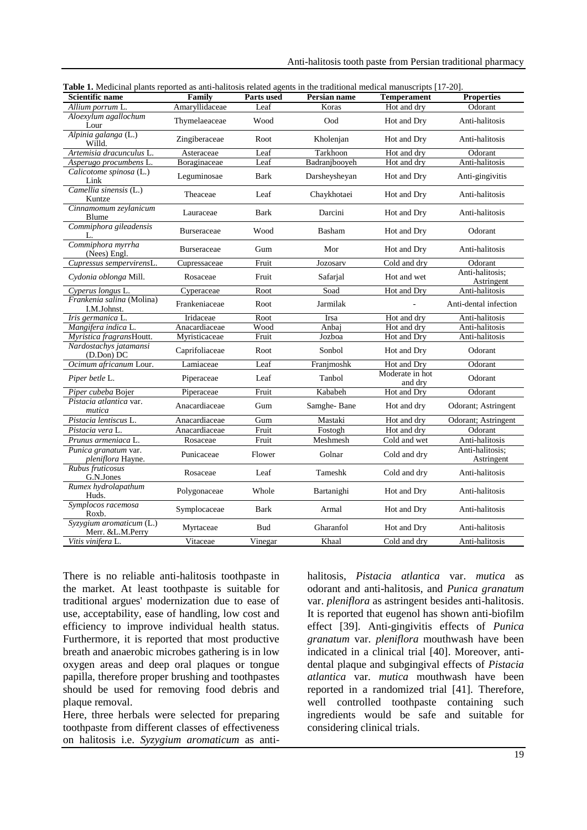| <b>Scientific name</b>                       | Family             | Parts used  | Persian name  | <b>Temperament</b>         | <b>Properties</b>             |
|----------------------------------------------|--------------------|-------------|---------------|----------------------------|-------------------------------|
| Allium porrum L.                             | Amaryllidaceae     | Leaf        | Koras         | Hot and dry                | Odorant                       |
| Aloexylum agallochum<br>Lour                 | Thymelaeaceae      | Wood        | Ood           | Hot and Dry                | Anti-halitosis                |
| Alpinia galanga (L.)<br>Willd.               | Zingiberaceae      | Root        | Kholenjan     | Hot and Dry                | Anti-halitosis                |
| Artemisia dracunculus L.                     | Asteraceae         | Leaf        | Tarkhoon      | Hot and dry                | Odorant                       |
| Asperugo procumbens L.                       | Boraginaceae       | Leaf        | Badranjbooyeh | Hot and dry                | Anti-halitosis                |
| Calicotome spinosa (L.)<br>Link              | Leguminosae        | Bark        | Darsheysheyan | Hot and Dry                | Anti-gingivitis               |
| Camellia sinensis (L.)<br>Kuntze             | Theaceae           | Leaf        | Chaykhotaei   | Hot and Dry                | Anti-halitosis                |
| Cinnamomum zeylanicum<br>Blume               | Lauraceae          | Bark        | Darcini       | Hot and Dry                | Anti-halitosis                |
| Commiphora gileadensis<br>L.                 | Burseraceae        | Wood        | Basham        | Hot and Dry                | Odorant                       |
| Commiphora myrrha<br>(Nees) Engl.            | <b>Burseraceae</b> | Gum         | Mor           | Hot and Dry                | Anti-halitosis                |
| Cupressus sempervirensL.                     | Cupressaceae       | Fruit       | Jozosary      | Cold and dry               | Odorant                       |
| Cydonia oblonga Mill.                        | Rosaceae           | Fruit       | Safarjal      | Hot and wet                | Anti-halitosis;<br>Astringent |
| Cyperus longus L.                            | Cyperaceae         | Root        | Soad          | Hot and Dry                | Anti-halitosis                |
| Frankenia salina (Molina)<br>I.M.Johnst.     | Frankeniaceae      | Root        | Jarmilak      |                            | Anti-dental infection         |
| Iris germanica L.                            | Iridaceae          | Root        | Irsa          | Hot and dry                | Anti-halitosis                |
| Mangifera indica L.                          | Anacardiaceae      | Wood        | Anbaj         | Hot and dry                | Anti-halitosis                |
| Myristica fragransHoutt.                     | Myristicaceae      | Fruit       | Jozboa        | Hot and Dry                | Anti-halitosis                |
| Nardostachys jatamansi<br>(D.Don) DC         | Caprifoliaceae     | Root        | Sonbol        | Hot and Dry                | Odorant                       |
| Ocimum africanum Lour.                       | Lamiaceae          | Leaf        | Franjmoshk    | Hot and Dry                | Odorant                       |
| Piper betle L.                               | Piperaceae         | Leaf        | Tanbol        | Moderate in hot<br>and dry | Odorant                       |
| Piper cubeba Bojer                           | Piperaceae         | Fruit       | Kababeh       | Hot and Dry                | Odorant                       |
| Pistacia atlantica var.<br>mutica            | Anacardiaceae      | Gum         | Samghe-Bane   | Hot and dry                | Odorant; Astringent           |
| Pistacia lentiscus L.                        | Anacardiaceae      | Gum         | Mastaki       | Hot and dry                | Odorant; Astringent           |
| Pistacia vera L.                             | Anacardiaceae      | Fruit       | Fostogh       | Hot and dry                | Odorant                       |
| Prunus armeniaca L.                          | Rosaceae           | Fruit       | Meshmesh      | Cold and wet               | Anti-halitosis                |
| Punica granatum var.<br>pleniflora Hayne.    | Punicaceae         | Flower      | Golnar        | Cold and dry               | Anti-halitosis:<br>Astringent |
| Rubus fruticosus<br>G.N.Jones                | Rosaceae           | Leaf        | Tameshk       | Cold and dry               | Anti-halitosis                |
| Rumex hydrolapathum<br>Huds.                 | Polygonaceae       | Whole       | Bartanighi    | Hot and Dry                | Anti-halitosis                |
| Symplocos racemosa<br>Roxb.                  | Symplocaceae       | <b>Bark</b> | Armal         | Hot and Dry                | Anti-halitosis                |
| Syzygium aromaticum (L.)<br>Merr. &L.M.Perry | Myrtaceae          | <b>Bud</b>  | Gharanfol     | Hot and Dry                | Anti-halitosis                |
| Vitis vinifera L.                            | Vitaceae           | Vinegar     | Khaal         | Cold and drv               | Anti-halitosis                |

|  |  |  | Table 1. Medicinal plants reported as anti-halitosis related agents in the traditional medical manuscripts [17-20]. |  |  |
|--|--|--|---------------------------------------------------------------------------------------------------------------------|--|--|
|--|--|--|---------------------------------------------------------------------------------------------------------------------|--|--|

There is no reliable anti-halitosis toothpaste in the market. At least toothpaste is suitable for traditional argues' modernization due to ease of use, acceptability, ease of handling, low cost and efficiency to improve individual health status. Furthermore, it is reported that most productive breath and anaerobic microbes gathering is in low oxygen areas and deep oral plaques or tongue papilla, therefore proper brushing and toothpastes should be used for removing food debris and plaque removal.

Here, three herbals were selected for preparing toothpaste from different classes of effectiveness on halitosis i.e. *Syzygium aromaticum* as antihalitosis, *Pistacia atlantica* var. *mutica* as odorant and anti-halitosis, and *Punica granatum*  var. *pleniflora* as astringent besides anti-halitosis. It is reported that eugenol has shown anti-biofilm effect [39]. Anti-gingivitis effects of *Punica granatum* var. *pleniflora* mouthwash have been indicated in a clinical trial [40]. Moreover, antidental plaque and subgingival effects of *Pistacia atlantica* var. *mutica* mouthwash have been reported in a randomized trial [41]. Therefore, well controlled toothpaste containing such ingredients would be safe and suitable for considering clinical trials.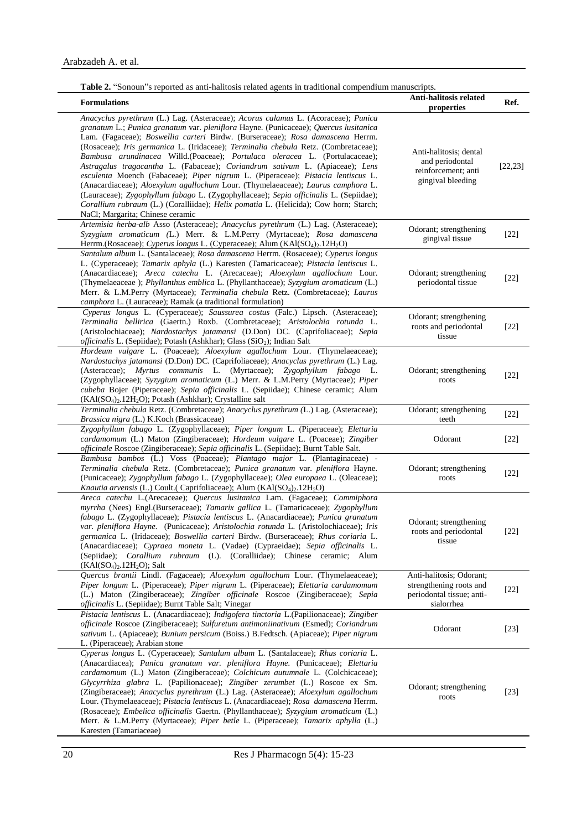| <b>Formulations</b>                                                                                                                                                                                                                                                                                                                                                                                                                                                                                                                                                                                                                                                                                                                                                                                                                                                                                           | Anti-halitosis related<br>properties                                                           | Ref.     |
|---------------------------------------------------------------------------------------------------------------------------------------------------------------------------------------------------------------------------------------------------------------------------------------------------------------------------------------------------------------------------------------------------------------------------------------------------------------------------------------------------------------------------------------------------------------------------------------------------------------------------------------------------------------------------------------------------------------------------------------------------------------------------------------------------------------------------------------------------------------------------------------------------------------|------------------------------------------------------------------------------------------------|----------|
| Anacyclus pyrethrum (L.) Lag. (Asteraceae); Acorus calamus L. (Acoraceae); Punica<br>granatum L.; Punica granatum var. pleniflora Hayne. (Punicaceae); Quercus lusitanica<br>Lam. (Fagaceae); Boswellia carteri Birdw. (Burseraceae); Rosa damascena Herrm.<br>(Rosaceae); Iris germanica L. (Iridaceae); Terminalia chebula Retz. (Combretaceae);<br>Bambusa arundinacea Willd.(Poaceae); Portulaca oleracea L. (Portulacaceae);<br>Astragalus tragacantha L. (Fabaceae); Coriandrum sativum L. (Apiaceae); Lens<br>esculenta Moench (Fabaceae); Piper nigrum L. (Piperaceae); Pistacia lentiscus L.<br>(Anacardiaceae); Aloexylum agallochum Lour. (Thymelaeaceae); Laurus camphora L.<br>(Lauraceae); Zygophyllum fabago L. (Zygophyllaceae); Sepia officinalis L. (Sepiidae);<br>Corallium rubraum (L.) (Coralliidae); Helix pomatia L. (Helicida); Cow horn; Starch;<br>NaCl; Margarita; Chinese ceramic | Anti-halitosis; dental<br>and periodontal<br>reinforcement; anti<br>gingival bleeding          | [22, 23] |
| Artemisia herba-alb Asso (Asteraceae); Anacyclus pyrethrum (L.) Lag. (Asteraceae);<br>Syzygium aromaticum (L.) Merr. & L.M.Perry (Myrtaceae); Rosa damascena<br>Herrm.(Rosaceae); Cyperus longus L. (Cyperaceae); Alum (KAl(SO <sub>4)2</sub> .12H <sub>2</sub> O)                                                                                                                                                                                                                                                                                                                                                                                                                                                                                                                                                                                                                                            | Odorant; strengthening<br>gingival tissue                                                      | $[22]$   |
| Santalum album L. (Santalaceae); Rosa damascena Herrm. (Rosaceae); Cyperus longus<br>L. (Cyperaceae); Tamarix aphyla (L.) Karesten (Tamaricaceae); Pistacia lentiscus L.<br>(Anacardiaceae); Areca catechu L. (Arecaceae); Aloexylum agallochum Lour.<br>(Thymelaeaceae); Phyllanthus emblica L. (Phyllanthaceae); Syzygium aromaticum (L.)<br>Merr. & L.M.Perry (Myrtaceae); Terminalia chebula Retz. (Combretaceae); Laurus<br>camphora L. (Lauraceae); Ramak (a traditional formulation)                                                                                                                                                                                                                                                                                                                                                                                                                   | Odorant; strengthening<br>periodontal tissue                                                   | $[22]$   |
| Cyperus longus L. (Cyperaceae); Saussurea costus (Falc.) Lipsch. (Asteraceae);<br>Terminalia bellirica (Gaertn.) Roxb. (Combretaceae); Aristolochia rotunda L.<br>(Aristolochiaceae); Nardostachys jatamansi (D.Don) DC. (Caprifoliaceae); Sepia<br>officinalis L. (Sepiidae); Potash (Ashkhar); Glass (SiO2); Indian Salt                                                                                                                                                                                                                                                                                                                                                                                                                                                                                                                                                                                    | Odorant; strengthening<br>roots and periodontal<br>tissue                                      | $[22]$   |
| Hordeum vulgare L. (Poaceae); Aloexylum agallochum Lour. (Thymelaeaceae);<br>Nardostachys jatamansi (D.Don) DC. (Caprifoliaceae); Anacyclus pyrethrum (L.) Lag.<br>(Asteraceae); Myrtus communis L. (Myrtaceae); Zygophyllum fabago L.<br>(Zygophyllaceae); Syzygium aromaticum (L.) Merr. & L.M.Perry (Myrtaceae); Piper<br>cubeba Bojer (Piperaceae); Sepia officinalis L. (Sepiidae); Chinese ceramic; Alum<br>$(KAI(SO4)2.12H2O)$ ; Potash (Ashkhar); Crystalline salt                                                                                                                                                                                                                                                                                                                                                                                                                                    | Odorant; strengthening<br>roots                                                                | $[22]$   |
| Terminalia chebula Retz. (Combretaceae); Anacyclus pyrethrum (L.) Lag. (Asteraceae);<br>Brassica nigra (L.) K.Koch (Brassicaceae)                                                                                                                                                                                                                                                                                                                                                                                                                                                                                                                                                                                                                                                                                                                                                                             | Odorant; strengthening<br>teeth                                                                | $[22]$   |
| Zygophyllum fabago L. (Zygophyllaceae); Piper longum L. (Piperaceae); Elettaria<br>cardamomum (L.) Maton (Zingiberaceae); Hordeum vulgare L. (Poaceae); Zingiber<br>officinale Roscoe (Zingiberaceae); Sepia officinalis L. (Sepiidae); Burnt Table Salt.                                                                                                                                                                                                                                                                                                                                                                                                                                                                                                                                                                                                                                                     | Odorant                                                                                        | $[22]$   |
| Bambusa bambos (L.) Voss (Poaceae); Plantago major L. (Plantaginaceae) -<br>Terminalia chebula Retz. (Combretaceae); Punica granatum var. pleniflora Hayne.<br>(Punicaceae); Zygophyllum fabago L. (Zygophyllaceae); Olea europaea L. (Oleaceae);<br>Knautia arvensis (L.) Coult. (Caprifoliaceae); Alum (KAl(SO <sub>4</sub> ) <sub>2</sub> .12H <sub>2</sub> O)                                                                                                                                                                                                                                                                                                                                                                                                                                                                                                                                             | Odorant; strengthening<br>roots                                                                | $[22]$   |
| Areca catechu L.(Arecaceae); Quercus lusitanica Lam. (Fagaceae); Commiphora<br>myrrha (Nees) Engl.(Burseraceae); Tamarix gallica L. (Tamaricaceae); Zygophyllum<br>fabago L. (Zygophyllaceae); Pistacia lentiscus L. (Anacardiaceae); Punica granatum<br>var. pleniflora Hayne. (Punicaceae); Aristolochia rotunda L. (Aristolochiaceae); Iris<br>germanica L. (Iridaceae); Boswellia carteri Birdw. (Burseraceae); Rhus coriaria L.<br>(Anacardiaceae); Cypraea moneta L. (Vadae) (Cypraeidae); Sepia officinalis L.<br>(Sepiidae); Corallium rubraum (L). (Coralliidae); Chinese ceramic; Alum<br>$(KAl(SO4)2.12H2O);$ Salt                                                                                                                                                                                                                                                                                 | Odorant; strengthening<br>roots and periodontal<br>tissue                                      | $[22]$   |
| Quercus brantii Lindl. (Fagaceae); Aloexylum agallochum Lour. (Thymelaeaceae);<br>Piper longum L. (Piperaceae); Piper nigrum L. (Piperaceae); Elettaria cardamomum<br>(L.) Maton (Zingiberaceae); Zingiber officinale Roscoe (Zingiberaceae); Sepia<br>officinalis L. (Sepiidae); Burnt Table Salt; Vinegar                                                                                                                                                                                                                                                                                                                                                                                                                                                                                                                                                                                                   | Anti-halitosis; Odorant;<br>strengthening roots and<br>periodontal tissue; anti-<br>sialorrhea | $[22]$   |
| Pistacia lentiscus L. (Anacardiaceae); Indigofera tinctoria L.(Papilionaceae); Zingiber<br>officinale Roscoe (Zingiberaceae); Sulfuretum antimoniinativum (Esmed); Coriandrum<br>sativum L. (Apiaceae); Bunium persicum (Boiss.) B.Fedtsch. (Apiaceae); Piper nigrum<br>L. (Piperaceae); Arabian stone                                                                                                                                                                                                                                                                                                                                                                                                                                                                                                                                                                                                        | Odorant                                                                                        | $[23]$   |
| Cyperus longus L. (Cyperaceae); Santalum album L. (Santalaceae); Rhus coriaria L.<br>(Anacardiacea); Punica granatum var. pleniflora Hayne. (Punicaceae); Elettaria<br>cardamomum (L.) Maton (Zingiberaceae); Colchicum autumnale L. (Colchicaceae);<br>Glycyrrhiza glabra L. (Papilionaceae); Zingiber zerumbet (L.) Roscoe ex Sm.<br>(Zingiberaceae); Anacyclus pyrethrum (L.) Lag. (Asteraceae); Aloexylum agallochum<br>Lour. (Thymelaeaceae); Pistacia lentiscus L. (Anacardiaceae); Rosa damascena Herrm.<br>(Rosaceae); <i>Embelica officinalis</i> Gaertn. (Phyllanthaceae); <i>Syzygium aromaticum</i> (L.)<br>Merr. & L.M.Perry (Myrtaceae); <i>Piper betle</i> L. (Piperaceae); <i>Tamarix aphylla</i> (L.)<br>Karesten (Tamariaceae)                                                                                                                                                              | Odorant; strengthening<br>roots                                                                | $[23]$   |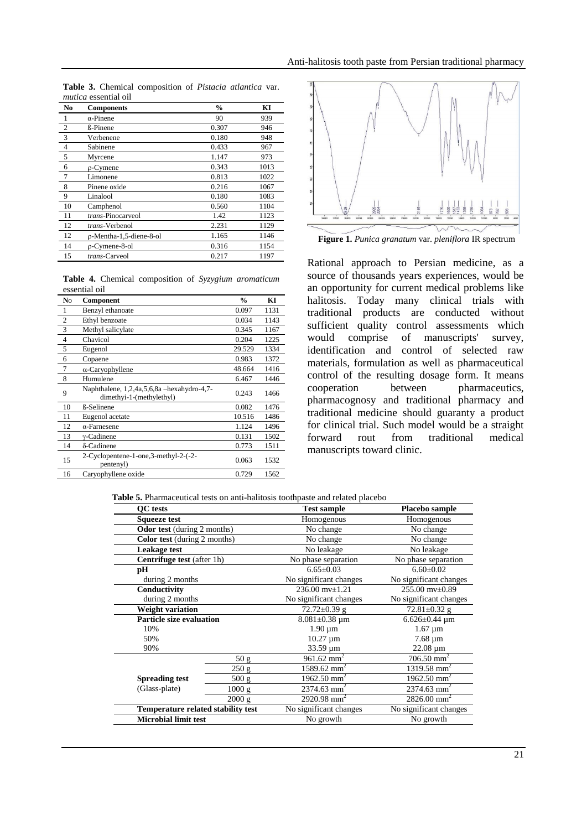| N <sub>0</sub> | <b>Components</b>       | $\frac{0}{0}$ | KI   |
|----------------|-------------------------|---------------|------|
|                | $\alpha$ -Pinene        | 90            | 939  |
| $\overline{2}$ | <b>ß-Pinene</b>         | 0.307         | 946  |
| 3              | Verbenene               | 0.180         | 948  |
| $\overline{4}$ | Sabinene                | 0.433         | 967  |
| 5              | Myrcene                 | 1.147         | 973  |
| 6              | $\rho$ -Cymene          | 0.343         | 1013 |
| $\overline{7}$ | Limonene                | 0.813         | 1022 |
| 8              | Pinene oxide            | 0.216         | 1067 |
| 9              | Linalool                | 0.180         | 1083 |
| 10             | Camphenol               | 0.560         | 1104 |
| 11             | trans-Pinocarveol       | 1.42          | 1123 |
| 12             | trans-Verbenol          | 2.231         | 1129 |
| 12             | p-Mentha-1,5-diene-8-ol | 1.165         | 1146 |
| 14             | p-Cymene-8-ol           | 0.316         | 1154 |
| 15             | <i>trans</i> -Carveol   | 0.217         | 1197 |

**Table 3.** Chemical composition of *Pistacia atlantica* var. *mutica* essential oil

**Table 4.** Chemical composition of *Syzygium aromaticum* essential oil

| N <sub>0</sub> | Component                                                              | $\frac{0}{0}$ | KI   |
|----------------|------------------------------------------------------------------------|---------------|------|
| 1              | Benzyl ethanoate                                                       | 0.097         | 1131 |
| $\overline{2}$ | Ethyl benzoate                                                         | 0.034         | 1143 |
| 3              | Methyl salicylate                                                      | 0.345         | 1167 |
| $\overline{4}$ | Chavicol                                                               | 0.204         | 1225 |
| 5              | Eugenol                                                                | 29.529        | 1334 |
| 6              | Copaene                                                                | 0.983         | 1372 |
| 7              | $\alpha$ -Caryophyllene                                                | 48.664        | 1416 |
| 8              | Humulene                                                               | 6.467         | 1446 |
| 9              | Naphthalene, 1,2,4a,5,6,8a -hexahydro-4,7-<br>dimethyi-1-(methylethyl) | 0.243         | 1466 |
| 10             | <b>ß-Selinene</b>                                                      | 0.082         | 1476 |
| 11             | Eugenol acetate                                                        | 10.516        | 1486 |
| 12             | $\alpha$ -Farnesene                                                    | 1.124         | 1496 |
| 13             | $\gamma$ -Cadinene                                                     | 0.131         | 1502 |
| 14             | δ-Cadinene                                                             | 0.773         | 1511 |
| 15             | 2-Cyclopentene-1-one,3-methyl-2-(-2-<br>pentenyl)                      | 0.063         | 1532 |
| 16             | Caryophyllene oxide                                                    | 0.729         | 1562 |



**Figure 1.** *Punica granatum* var. *pleniflora* IR spectrum

Rational approach to Persian medicine, as a source of thousands years experiences, would be an opportunity for current medical problems like halitosis. Today many clinical trials with traditional products are conducted without sufficient quality control assessments which would comprise of manuscripts' survey, identification and control of selected raw materials, formulation as well as pharmaceutical control of the resulting dosage form. It means cooperation between pharmaceutics, pharmacognosy and traditional pharmacy and traditional medicine should guaranty a product for clinical trial. Such model would be a straight forward rout from traditional medical manuscripts toward clinic.

| <b>Table 5.</b> Pharmaceutical tests on anti-halitosis toothpaste and related placebo |
|---------------------------------------------------------------------------------------|
|---------------------------------------------------------------------------------------|

| <b>OC</b> tests                           |                             | <b>Test sample</b>        | Placebo sample            |  |
|-------------------------------------------|-----------------------------|---------------------------|---------------------------|--|
| <b>Squeeze test</b>                       |                             |                           | Homogenous                |  |
|                                           | Odor test (during 2 months) |                           | No change                 |  |
| <b>Color test</b> (during 2 months)       |                             | No change                 | No change                 |  |
| Leakage test                              |                             | No leakage                | No leakage                |  |
| <b>Centrifuge test</b> (after 1h)         |                             | No phase separation       | No phase separation       |  |
| pН                                        |                             |                           | $6.60 \pm 0.02$           |  |
| during 2 months                           |                             | No significant changes    | No significant changes    |  |
| Conductivity                              |                             |                           | $255.00$ mv $\pm$ 0.89    |  |
| during 2 months                           |                             |                           | No significant changes    |  |
| <b>Weight variation</b>                   |                             | 72.72±0.39 g              | $72.81 \pm 0.32$ g        |  |
| <b>Particle size evaluation</b>           |                             | $8.081 \pm 0.38$ um       | $6.626 \pm 0.44$ µm       |  |
| 10%                                       |                             | $1.90 \mu m$              | $1.67 \mu m$              |  |
| 50%                                       |                             | $10.27 \mu m$             | $7.68 \mu m$              |  |
| 90%                                       |                             | $33.59 \mu m$             | $22.08 \mu m$             |  |
|                                           | 50 g                        | $961.62$ mm <sup>2</sup>  | $706.50$ mm <sup>2</sup>  |  |
|                                           | 250 g                       | $1589.62$ mm <sup>2</sup> | 1319.58 mm <sup>2</sup>   |  |
| <b>Spreading test</b>                     | 500 g                       | 1962.50 mm <sup>2</sup>   | 1962.50 mm <sup>2</sup>   |  |
| (Glass-plate)                             | 1000 g                      | $2374.63$ mm <sup>2</sup> | $2374.63$ mm <sup>2</sup> |  |
|                                           | 2000 g                      | $2920.98$ mm <sup>2</sup> | $2826.00$ mm <sup>2</sup> |  |
| <b>Temperature related stability test</b> |                             | No significant changes    | No significant changes    |  |
| <b>Microbial limit test</b>               |                             | No growth                 | No growth                 |  |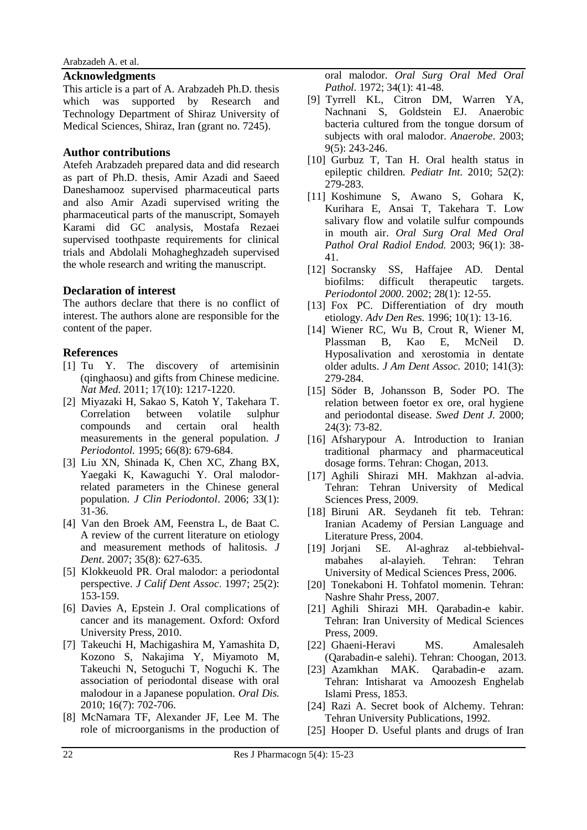#### **Acknowledgments**

This article is a part of A. Arabzadeh Ph.D. thesis which was supported by Research and Technology Department of Shiraz University of Medical Sciences, Shiraz, Iran (grant no. 7245).

#### **Author contributions**

Atefeh Arabzadeh prepared data and did research as part of Ph.D. thesis, Amir Azadi and Saeed Daneshamooz supervised pharmaceutical parts and also Amir Azadi supervised writing the pharmaceutical parts of the manuscript, Somayeh Karami did GC analysis, Mostafa Rezaei supervised toothpaste requirements for clinical trials and Abdolali Mohagheghzadeh supervised the whole research and writing the manuscript.

### **Declaration of interest**

The authors declare that there is no conflict of interest. The authors alone are responsible for the content of the paper.

#### **References**

- [1] Tu Y. The discovery of artemisinin (qinghaosu) and gifts from Chinese medicine. *Nat Med.* 2011; 17(10): 1217-1220.
- [2] Miyazaki H, Sakao S, Katoh Y, Takehara T. Correlation between volatile sulphur compounds and certain oral health measurements in the general population. *J Periodontol.* 1995; 66(8): 679-684.
- [3] Liu XN, Shinada K, Chen XC, Zhang BX, Yaegaki K, Kawaguchi Y. Oral malodorrelated parameters in the Chinese general population. *J Clin Periodontol*. 2006; 33(1): 31-36.
- [4] Van den Broek AM, Feenstra L, de Baat C. A review of the current literature on etiology and measurement methods of halitosis*. J Dent*. 2007; 35(8): 627-635.
- [5] Klokkeuold PR. Oral malodor: a periodontal perspective. *J Calif Dent Assoc*. 1997; 25(2): 153-159.
- [6] Davies A, Epstein J. Oral complications of cancer and its management. Oxford: Oxford University Press, 2010.
- [7] Takeuchi H, Machigashira M, Yamashita D, [Kozono S,](https://www.ncbi.nlm.nih.gov/pubmed/?term=Kozono%20S%5BAuthor%5D&cauthor=true&cauthor_uid=20561223) [Nakajima Y,](https://www.ncbi.nlm.nih.gov/pubmed/?term=Nakajima%20Y%5BAuthor%5D&cauthor=true&cauthor_uid=20561223) [Miyamoto M,](https://www.ncbi.nlm.nih.gov/pubmed/?term=Miyamoto%20M%5BAuthor%5D&cauthor=true&cauthor_uid=20561223) [Takeuchi N,](https://www.ncbi.nlm.nih.gov/pubmed/?term=Takeuchi%20N%5BAuthor%5D&cauthor=true&cauthor_uid=20561223) [Setoguchi T,](https://www.ncbi.nlm.nih.gov/pubmed/?term=Setoguchi%20T%5BAuthor%5D&cauthor=true&cauthor_uid=20561223) [Noguchi K.](https://www.ncbi.nlm.nih.gov/pubmed/?term=Noguchi%20K%5BAuthor%5D&cauthor=true&cauthor_uid=20561223) The association of periodontal disease with oral malodour in a Japanese population. *Oral Dis.* 2010; 16(7): 702-706.
- [8] McNamara TF, Alexander JF, Lee M. The role of microorganisms in the production of

oral malodor. *Oral Surg Oral Med Oral Pathol.* 1972; 34(1): 41-48.

- [9] Tyrrell KL, Citron DM, Warren YA, Nachnani S, Goldstein EJ. Anaerobic bacteria cultured from the tongue dorsum of subjects with oral malodor. *Anaerobe*. 2003; 9(5): 243-246.
- [10] Gurbuz T, Tan H. Oral health status in epileptic children*. Pediatr Int.* 2010; 52(2): 279-283.
- [11] Koshimune S, Awano S, Gohara K, Kurihara E, Ansai T, Takehara T. Low salivary flow and volatile sulfur compounds in mouth air. *Oral Surg Oral Med Oral Pathol Oral Radiol Endod.* 2003; 96(1): 38- 41.
- [12] Socransky SS, Haffajee AD. Dental biofilms: difficult therapeutic targets. *Periodontol 2000*. 2002; 28(1): 12-55.
- [13] Fox PC. Differentiation of dry mouth etiology*. Adv Den Res.* 1996; 10(1): 13-16.
- [14] Wiener RC, Wu B, Crout R, [Wiener M,](https://www.ncbi.nlm.nih.gov/pubmed/?term=Wiener%20M%5BAuthor%5D&cauthor=true&cauthor_uid=20194383) [Plassman B,](https://www.ncbi.nlm.nih.gov/pubmed/?term=Plassman%20B%5BAuthor%5D&cauthor=true&cauthor_uid=20194383) [Kao E,](https://www.ncbi.nlm.nih.gov/pubmed/?term=Kao%20E%5BAuthor%5D&cauthor=true&cauthor_uid=20194383) [McNeil D.](https://www.ncbi.nlm.nih.gov/pubmed/?term=McNeil%20D%5BAuthor%5D&cauthor=true&cauthor_uid=20194383) Hyposalivation and xerostomia in dentate older adults. *J Am Dent Assoc.* 2010; 141(3): 279-284.
- [15] Söder B, Johansson B, Soder PO. The relation between foetor ex ore, oral hygiene and periodontal disease. *Swed Dent J.* 2000; 24(3): 73-82.
- [16] Afsharypour A. Introduction to Iranian traditional pharmacy and pharmaceutical dosage forms. Tehran: Chogan, 2013.
- [17] Aghili Shirazi MH. Makhzan al-advia. Tehran: Tehran University of Medical Sciences Press, 2009.
- [18] Biruni AR. Seydaneh fit teb*.* Tehran: Iranian Academy of Persian Language and Literature Press, 2004.
- [19] Jorjani SE. Al-aghraz al-tebbiehvalmabahes al-alayieh. Tehran: Tehran University of Medical Sciences Press, 2006.
- [20] Tonekaboni H. Tohfatol momenin. Tehran: Nashre Shahr Press, 2007.
- [21] Aghili Shirazi MH. Qarabadin-e kabir. Tehran: Iran University of Medical Sciences Press, 2009.
- [22] Ghaeni-Heravi MS. Amalesaleh (Qarabadin-e salehi). Tehran: Choogan, 2013.
- [23] Azamkhan MAK. Qarabadin-e azam. Tehran: Intisharat va Amoozesh Enghelab Islami Press, 1853.
- [24] Razi A. Secret book of Alchemy. Tehran: Tehran University Publications, 1992.
- [25] Hooper D. Useful plants and drugs of Iran